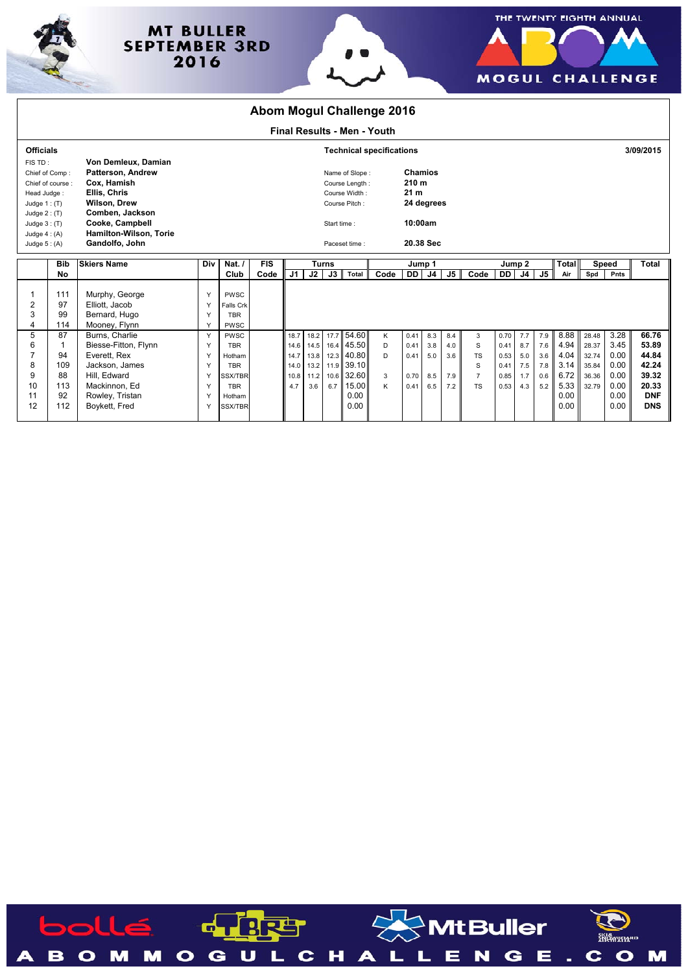

## **MT BULLER SEPTEMBER 3RD** 2016





|                                    | <b>Abom Mogul Challenge 2016</b>      |                                           |               |                                 |            |               |      |              |                |      |                  |                |     |                |        |                |           |                     |       |              |                          |  |
|------------------------------------|---------------------------------------|-------------------------------------------|---------------|---------------------------------|------------|---------------|------|--------------|----------------|------|------------------|----------------|-----|----------------|--------|----------------|-----------|---------------------|-------|--------------|--------------------------|--|
| <b>Final Results - Men - Youth</b> |                                       |                                           |               |                                 |            |               |      |              |                |      |                  |                |     |                |        |                |           |                     |       |              |                          |  |
| <b>Officials</b>                   |                                       |                                           |               | <b>Technical specifications</b> |            |               |      |              |                |      |                  |                |     |                |        |                | 3/09/2015 |                     |       |              |                          |  |
| FIS TD:                            |                                       | Von Demleux, Damian                       |               |                                 |            |               |      |              |                |      |                  |                |     |                |        |                |           |                     |       |              |                          |  |
|                                    | Chief of Comp:                        | <b>Patterson, Andrew</b>                  |               |                                 |            |               |      |              | Name of Slope: |      | <b>Chamios</b>   |                |     |                |        |                |           |                     |       |              |                          |  |
| Chief of course:                   |                                       | Cox, Hamish                               |               |                                 |            |               |      |              | Course Length: |      | 210 <sub>m</sub> |                |     |                |        |                |           |                     |       |              |                          |  |
| Head Judge:                        |                                       | Ellis, Chris                              |               |                                 |            | Course Width: |      |              |                |      | 21 <sub>m</sub>  |                |     |                |        |                |           |                     |       |              |                          |  |
|                                    | <b>Wilson, Drew</b><br>Judge $1:$ (T) |                                           |               |                                 |            |               |      |              | Course Pitch:  |      |                  | 24 degrees     |     |                |        |                |           |                     |       |              |                          |  |
|                                    | Comben, Jackson<br>Judge $2:(T)$      |                                           |               |                                 |            | Start time:   |      |              |                |      | 10:00am          |                |     |                |        |                |           |                     |       |              |                          |  |
| Judge $3: (T)$                     |                                       | Cooke, Campbell<br>Hamilton-Wilson, Torie |               |                                 |            |               |      |              |                |      |                  |                |     |                |        |                |           |                     |       |              |                          |  |
| Judge $4:(A)$<br>Judge $5:(A)$     |                                       | Gandolfo, John                            |               |                                 |            |               |      |              |                |      | 20.38 Sec        |                |     |                |        |                |           |                     |       |              |                          |  |
|                                    |                                       |                                           | Paceset time: |                                 |            |               |      |              |                |      |                  |                |     |                |        |                |           |                     |       |              |                          |  |
|                                    | <b>Bib</b>                            | <b>Skiers Name</b>                        | Div           | Nat.                            | <b>FIS</b> |               |      | <b>Turns</b> |                |      | Jump 1           |                |     |                | Jump 2 |                |           |                     |       | Speed        | Total                    |  |
|                                    |                                       |                                           |               |                                 |            |               |      |              |                |      |                  |                |     |                |        |                |           |                     |       |              |                          |  |
|                                    | <b>No</b>                             |                                           |               | Club                            | Code       | J1            | J2   | J3           | <b>Total</b>   | Code | <b>DD</b>        | J <sub>4</sub> | J5  | Code           | DD I   | J <sub>4</sub> | J5        | <b>Total</b><br>Air | Spd   | Pnts         |                          |  |
|                                    |                                       |                                           |               |                                 |            |               |      |              |                |      |                  |                |     |                |        |                |           |                     |       |              |                          |  |
|                                    | 111                                   | Murphy, George                            | Y             | PWSC                            |            |               |      |              |                |      |                  |                |     |                |        |                |           |                     |       |              |                          |  |
| 2                                  | 97                                    | Elliott, Jacob                            | Υ             | Falls Crk                       |            |               |      |              |                |      |                  |                |     |                |        |                |           |                     |       |              |                          |  |
| 3                                  | 99                                    | Bernard, Hugo                             | Y             | <b>TBR</b>                      |            |               |      |              |                |      |                  |                |     |                |        |                |           |                     |       |              |                          |  |
| 4                                  | 114                                   | Mooney, Flynn                             | Y             | PWSC                            |            |               |      |              |                |      |                  |                |     |                |        |                |           |                     |       |              |                          |  |
| 5                                  | 87                                    | Burns, Charlie                            | Y             | PWSC                            |            | 18.7          | 18.2 |              | 17.7 54.60     | K    | 0.41             | 8.3            | 8.4 | 3              | 0.70   | 7.7            | 7.9       | 8.88                | 28.48 | 3.28         | 66.76                    |  |
| 6                                  |                                       | Biesse-Fitton, Flynn                      | Y             | <b>TBR</b>                      |            | 14.6          | 14.5 |              | 16.4 45.50     | D    | 0.41             | 3.8            | 4.0 | S              | 0.41   | 8.7            | 7.6       | 4.94                | 28.37 | 3.45         | 53.89                    |  |
| 7                                  | 94                                    | Everett, Rex                              | Y             | Hotham                          |            | 14.7          | 13.8 |              | 12.3 40.80     | D    | 0.41             | 5.0            | 3.6 | TS             | 0.53   | 5.0            | 3.6       | 4.04                | 32.74 | 0.00         | 44.84                    |  |
| 8                                  | 109                                   | Jackson, James                            | Y             | <b>TBR</b>                      |            | 14.0          | 13.2 |              | 11.9 39.10     |      |                  |                |     | S              | 0.41   | 7.5            | 7.8       | 3.14                | 35.84 | 0.00         | 42.24                    |  |
| 9                                  | 88                                    | Hill, Edward                              | Y             | <b>SSX/TBR</b>                  |            | 10.8          | 11.2 | 10.6         | 32.60          | 3    | 0.70             | 8.5            | 7.9 | $\overline{7}$ | 0.85   | 1.7            | 0.6       | 6.72                | 36.36 | 0.00         | 39.32                    |  |
| 10                                 | 113                                   | Mackinnon, Ed                             | Y             | <b>TBR</b>                      |            | 4.7           | 3.6  | 6.7          | 15.00          | K    | 0.41             | 6.5            | 7.2 | <b>TS</b>      | 0.53   | 4.3            | 5.2       | 5.33                | 32.79 | 0.00         | 20.33                    |  |
| 11<br>12                           | 92<br>112                             | Rowley, Tristan<br>Boykett, Fred          | Y<br>Y        | Hotham<br><b>SSX/TBR</b>        |            |               |      |              | 0.00<br>0.00   |      |                  |                |     |                |        |                |           | 0.00<br>0.00        |       | 0.00<br>0.00 | <b>DNF</b><br><b>DNS</b> |  |

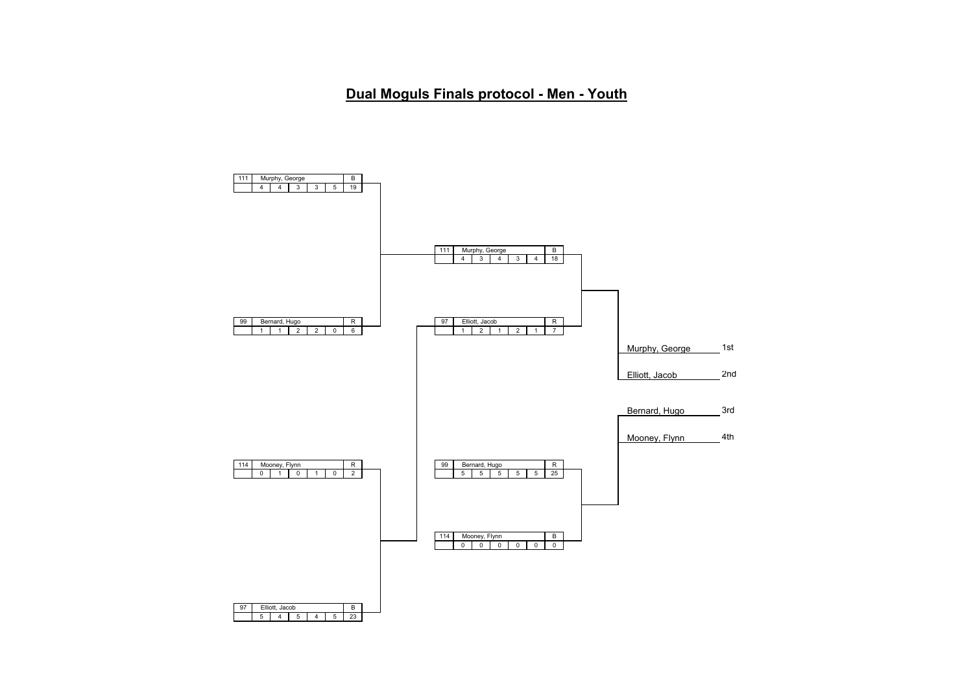